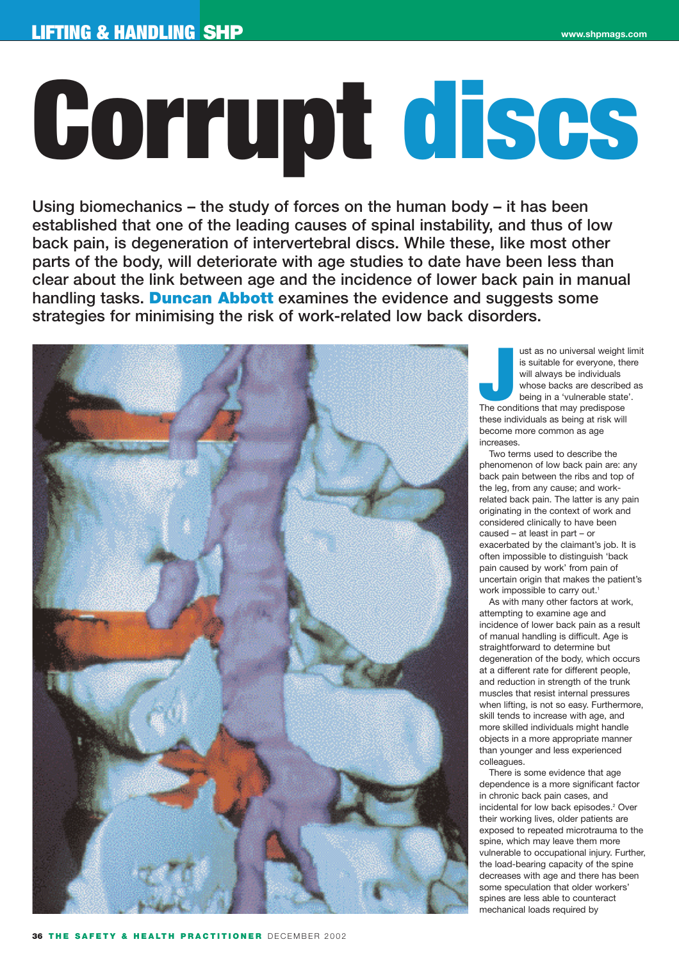# **Corrupt discs**

**Using biomechanics – the study of forces on the human body – it has been established that one of the leading causes of spinal instability, and thus of low back pain, is degeneration of intervertebral discs. While these, like most other parts of the body, will deteriorate with age studies to date have been less than clear about the link between age and the incidence of lower back pain in manual handling tasks. Duncan Abbott examines the evidence and suggests some strategies for minimising the risk of work-related low back disorders.** 



I ust as no universal weight<br>
is suitable for everyone, th<br>
will always be individuals<br>
whose backs are describe<br>
being in a 'vulnerable state<br>
The conditions that may predispose ust as no universal weight limit is suitable for everyone, there will always be individuals whose backs are described as being in a 'vulnerable state'. these individuals as being at risk will become more common as age increases.

Two terms used to describe the phenomenon of low back pain are: any back pain between the ribs and top of the leg, from any cause; and workrelated back pain. The latter is any pain originating in the context of work and considered clinically to have been caused – at least in part – or exacerbated by the claimant's job. It is often impossible to distinguish 'back pain caused by work' from pain of uncertain origin that makes the patient's work impossible to carry out.<sup>1</sup>

As with many other factors at work, attempting to examine age and incidence of lower back pain as a result of manual handling is difficult. Age is straightforward to determine but degeneration of the body, which occurs at a different rate for different people, and reduction in strength of the trunk muscles that resist internal pressures when lifting, is not so easy. Furthermore, skill tends to increase with age, and more skilled individuals might handle objects in a more appropriate manner than younger and less experienced colleagues.

There is some evidence that age dependence is a more significant factor in chronic back pain cases, and incidental for low back episodes.<sup>2</sup> Over their working lives, older patients are exposed to repeated microtrauma to the spine, which may leave them more vulnerable to occupational injury. Further, the load-bearing capacity of the spine decreases with age and there has been some speculation that older workers' spines are less able to counteract mechanical loads required by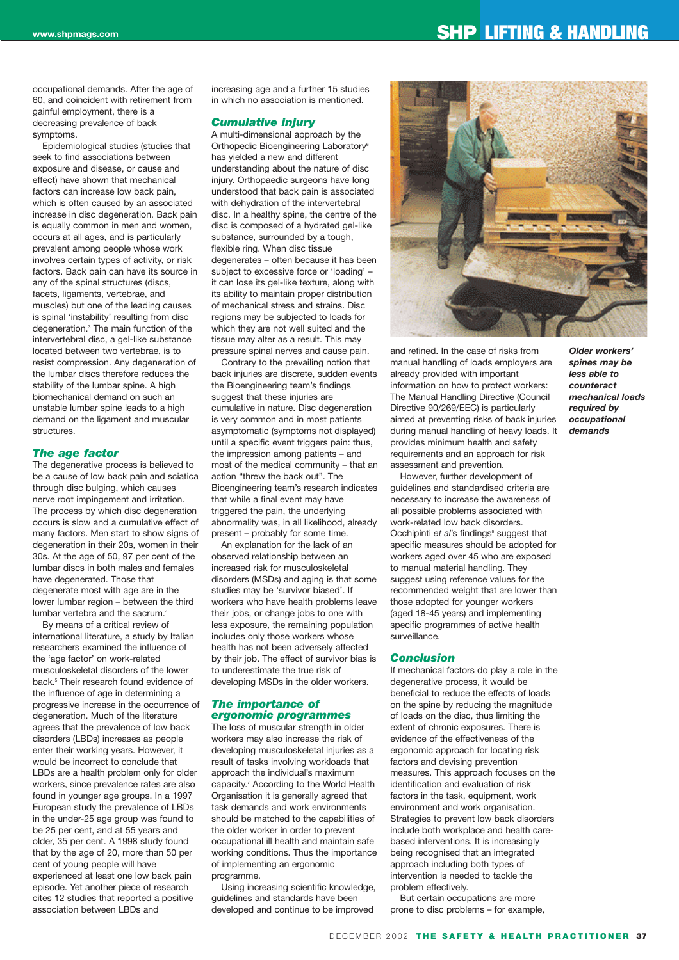# **www.shpmags.com SHP LIFTING & HANDLING**

occupational demands. After the age of 60, and coincident with retirement from gainful employment, there is a decreasing prevalence of back symptoms.

Epidemiological studies (studies that seek to find associations between exposure and disease, or cause and effect) have shown that mechanical factors can increase low back pain, which is often caused by an associated increase in disc degeneration. Back pain is equally common in men and women, occurs at all ages, and is particularly prevalent among people whose work involves certain types of activity, or risk factors. Back pain can have its source in any of the spinal structures (discs, facets, ligaments, vertebrae, and muscles) but one of the leading causes is spinal 'instability' resulting from disc degeneration.3 The main function of the intervertebral disc, a gel-like substance located between two vertebrae, is to resist compression. Any degeneration of the lumbar discs therefore reduces the stability of the lumbar spine. A high biomechanical demand on such an unstable lumbar spine leads to a high demand on the ligament and muscular structures.

### *The age factor*

The degenerative process is believed to be a cause of low back pain and sciatica through disc bulging, which causes nerve root impingement and irritation. The process by which disc degeneration occurs is slow and a cumulative effect of many factors. Men start to show signs of degeneration in their 20s, women in their 30s. At the age of 50, 97 per cent of the lumbar discs in both males and females have degenerated. Those that degenerate most with age are in the lower lumbar region – between the third lumbar vertebra and the sacrum.<sup>4</sup>

By means of a critical review of international literature, a study by Italian researchers examined the influence of the 'age factor' on work-related musculoskeletal disorders of the lower back.5 Their research found evidence of the influence of age in determining a progressive increase in the occurrence of degeneration. Much of the literature agrees that the prevalence of low back disorders (LBDs) increases as people enter their working years. However, it would be incorrect to conclude that LBDs are a health problem only for older workers, since prevalence rates are also found in younger age groups. In a 1997 European study the prevalence of LBDs in the under-25 age group was found to be 25 per cent, and at 55 years and older, 35 per cent. A 1998 study found that by the age of 20, more than 50 per cent of young people will have experienced at least one low back pain episode. Yet another piece of research cites 12 studies that reported a positive association between LBDs and

increasing age and a further 15 studies in which no association is mentioned.

## *Cumulative injury*

A multi-dimensional approach by the Orthopedic Bioengineering Laboratory<sup>6</sup> has yielded a new and different understanding about the nature of disc injury. Orthopaedic surgeons have long understood that back pain is associated with dehydration of the intervertebral disc. In a healthy spine, the centre of the disc is composed of a hydrated gel-like substance, surrounded by a tough, flexible ring. When disc tissue degenerates – often because it has been subject to excessive force or 'loading' – it can lose its gel-like texture, along with its ability to maintain proper distribution of mechanical stress and strains. Disc regions may be subjected to loads for which they are not well suited and the tissue may alter as a result. This may pressure spinal nerves and cause pain.

Contrary to the prevailing notion that back injuries are discrete, sudden events the Bioengineering team's findings suggest that these injuries are cumulative in nature. Disc degeneration is very common and in most patients asymptomatic (symptoms not displayed) until a specific event triggers pain: thus, the impression among patients – and most of the medical community – that an action "threw the back out". The Bioengineering team's research indicates that while a final event may have triggered the pain, the underlying abnormality was, in all likelihood, already present – probably for some time.

An explanation for the lack of an observed relationship between an increased risk for musculoskeletal disorders (MSDs) and aging is that some studies may be 'survivor biased'. If workers who have health problems leave their jobs, or change jobs to one with less exposure, the remaining population includes only those workers whose health has not been adversely affected by their job. The effect of survivor bias is to underestimate the true risk of developing MSDs in the older workers.

# *The importance of ergonomic programmes*

The loss of muscular strength in older workers may also increase the risk of developing musculoskeletal injuries as a result of tasks involving workloads that approach the individual's maximum capacity.7 According to the World Health Organisation it is generally agreed that task demands and work environments should be matched to the capabilities of the older worker in order to prevent occupational ill health and maintain safe working conditions. Thus the importance of implementing an ergonomic programme.

Using increasing scientific knowledge, guidelines and standards have been developed and continue to be improved



and refined. In the case of risks from manual handling of loads employers are already provided with important information on how to protect workers: The Manual Handling Directive (Council Directive 90/269/EEC) is particularly aimed at preventing risks of back injuries during manual handling of heavy loads. It provides minimum health and safety requirements and an approach for risk assessment and prevention.

However, further development of guidelines and standardised criteria are necessary to increase the awareness of all possible problems associated with work-related low back disorders. Occhipinti *et al's* findings<sup>5</sup> suggest that specific measures should be adopted for workers aged over 45 who are exposed to manual material handling. They suggest using reference values for the recommended weight that are lower than those adopted for younger workers (aged 18-45 years) and implementing specific programmes of active health surveillance.

#### *Conclusion*

If mechanical factors do play a role in the degenerative process, it would be beneficial to reduce the effects of loads on the spine by reducing the magnitude of loads on the disc, thus limiting the extent of chronic exposures. There is evidence of the effectiveness of the ergonomic approach for locating risk factors and devising prevention measures. This approach focuses on the identification and evaluation of risk factors in the task, equipment, work environment and work organisation. Strategies to prevent low back disorders include both workplace and health carebased interventions. It is increasingly being recognised that an integrated approach including both types of intervention is needed to tackle the problem effectively.

But certain occupations are more prone to disc problems – for example,

*Older workers' spines may be less able to counteract mechanical loads required by occupational demands*